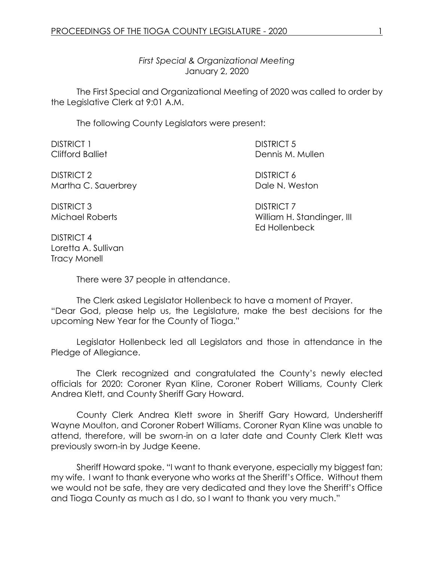*First Special & Organizational Meeting* January 2, 2020

The First Special and Organizational Meeting of 2020 was called to order by the Legislative Clerk at 9:01 A.M.

The following County Legislators were present:

| <b>DISTRICT 1</b> | <b>DISTRICT 5</b>                                 |  |
|-------------------|---------------------------------------------------|--|
| Clifford Balliet  | Dennis M. Mullen                                  |  |
| DICTDIOT O        | $N$ $($ $\sim$ $\sim$ $\sim$ $\sim$ $\sim$ $\sim$ |  |

DISTRICT 2 DISTRICT 6 Martha C. Sauerbrey **Dale N. Weston** 

DISTRICT 3 DISTRICT 7

Michael Roberts **Michael Roberts** William H. Standinger, III Ed Hollenbeck

DISTRICT 4 Loretta A. Sullivan Tracy Monell

There were 37 people in attendance.

The Clerk asked Legislator Hollenbeck to have a moment of Prayer. "Dear God, please help us, the Legislature, make the best decisions for the upcoming New Year for the County of Tioga."

Legislator Hollenbeck led all Legislators and those in attendance in the Pledge of Allegiance.

The Clerk recognized and congratulated the County's newly elected officials for 2020: Coroner Ryan Kline, Coroner Robert Williams, County Clerk Andrea Klett, and County Sheriff Gary Howard.

County Clerk Andrea Klett swore in Sheriff Gary Howard, Undersheriff Wayne Moulton, and Coroner Robert Williams. Coroner Ryan Kline was unable to attend, therefore, will be sworn-in on a later date and County Clerk Klett was previously sworn-in by Judge Keene.

Sheriff Howard spoke. "I want to thank everyone, especially my biggest fan; my wife. I want to thank everyone who works at the Sheriff's Office. Without them we would not be safe, they are very dedicated and they love the Sheriff's Office and Tioga County as much as I do, so I want to thank you very much."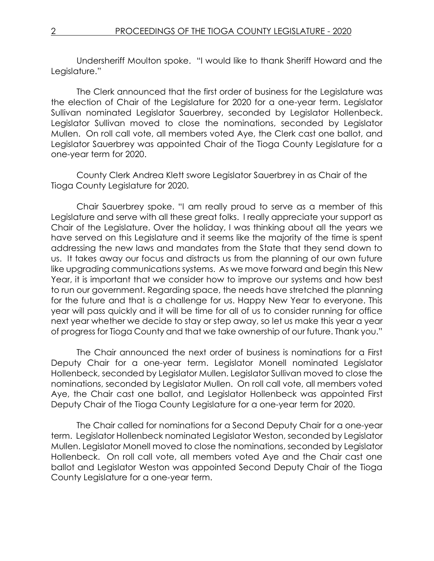Undersheriff Moulton spoke. "I would like to thank Sheriff Howard and the Legislature."

The Clerk announced that the first order of business for the Legislature was the election of Chair of the Legislature for 2020 for a one-year term. Legislator Sullivan nominated Legislator Sauerbrey, seconded by Legislator Hollenbeck. Legislator Sullivan moved to close the nominations, seconded by Legislator Mullen. On roll call vote, all members voted Aye, the Clerk cast one ballot, and Legislator Sauerbrey was appointed Chair of the Tioga County Legislature for a one-year term for 2020.

County Clerk Andrea Klett swore Legislator Sauerbrey in as Chair of the Tioga County Legislature for 2020.

Chair Sauerbrey spoke. "I am really proud to serve as a member of this Legislature and serve with all these great folks. I really appreciate your support as Chair of the Legislature. Over the holiday, I was thinking about all the years we have served on this Legislature and it seems like the majority of the time is spent addressing the new laws and mandates from the State that they send down to us. It takes away our focus and distracts us from the planning of our own future like upgrading communications systems. As we move forward and begin this New Year, it is important that we consider how to improve our systems and how best to run our government. Regarding space, the needs have stretched the planning for the future and that is a challenge for us. Happy New Year to everyone. This year will pass quickly and it will be time for all of us to consider running for office next year whether we decide to stay or step away, so let us make this year a year of progress for Tioga County and that we take ownership of our future. Thank you."

The Chair announced the next order of business is nominations for a First Deputy Chair for a one-year term. Legislator Monell nominated Legislator Hollenbeck, seconded by Legislator Mullen. Legislator Sullivan moved to close the nominations, seconded by Legislator Mullen. On roll call vote, all members voted Aye, the Chair cast one ballot, and Legislator Hollenbeck was appointed First Deputy Chair of the Tioga County Legislature for a one-year term for 2020.

The Chair called for nominations for a Second Deputy Chair for a one-year term. Legislator Hollenbeck nominated Legislator Weston, seconded by Legislator Mullen. Legislator Monell moved to close the nominations, seconded by Legislator Hollenbeck. On roll call vote, all members voted Aye and the Chair cast one ballot and Legislator Weston was appointed Second Deputy Chair of the Tioga County Legislature for a one-year term.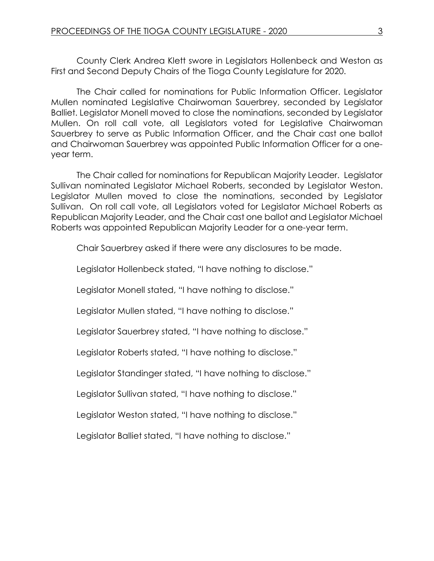County Clerk Andrea Klett swore in Legislators Hollenbeck and Weston as First and Second Deputy Chairs of the Tioga County Legislature for 2020.

The Chair called for nominations for Public Information Officer. Legislator Mullen nominated Legislative Chairwoman Sauerbrey, seconded by Legislator Balliet. Legislator Monell moved to close the nominations, seconded by Legislator Mullen. On roll call vote, all Legislators voted for Legislative Chairwoman Sauerbrey to serve as Public Information Officer, and the Chair cast one ballot and Chairwoman Sauerbrey was appointed Public Information Officer for a oneyear term.

The Chair called for nominations for Republican Majority Leader. Legislator Sullivan nominated Legislator Michael Roberts, seconded by Legislator Weston. Legislator Mullen moved to close the nominations, seconded by Legislator Sullivan. On roll call vote, all Legislators voted for Legislator Michael Roberts as Republican Majority Leader, and the Chair cast one ballot and Legislator Michael Roberts was appointed Republican Majority Leader for a one-year term.

Chair Sauerbrey asked if there were any disclosures to be made.

Legislator Hollenbeck stated, "I have nothing to disclose."

Legislator Monell stated, "I have nothing to disclose."

Legislator Mullen stated, "I have nothing to disclose."

Legislator Sauerbrey stated, "I have nothing to disclose."

Legislator Roberts stated, "I have nothing to disclose."

Legislator Standinger stated, "I have nothing to disclose."

Legislator Sullivan stated, "I have nothing to disclose."

Legislator Weston stated, "I have nothing to disclose."

Legislator Balliet stated, "I have nothing to disclose."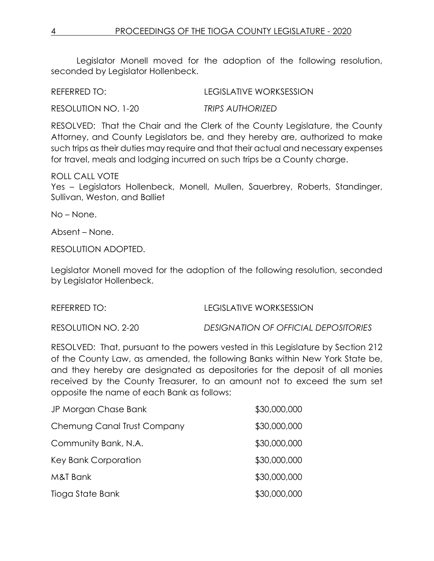Legislator Monell moved for the adoption of the following resolution, seconded by Legislator Hollenbeck.

REFERRED TO: LEGISLATIVE WORKSESSION

RESOLUTION NO. 1-20 *TRIPS AUTHORIZED*

RESOLVED: That the Chair and the Clerk of the County Legislature, the County Attorney, and County Legislators be, and they hereby are, authorized to make such trips as their duties may require and that their actual and necessary expenses for travel, meals and lodging incurred on such trips be a County charge.

## ROLL CALL VOTE

Yes – Legislators Hollenbeck, Monell, Mullen, Sauerbrey, Roberts, Standinger, Sullivan, Weston, and Balliet

No – None.

Absent – None.

RESOLUTION ADOPTED.

Legislator Monell moved for the adoption of the following resolution, seconded by Legislator Hollenbeck.

REFERRED TO: LEGISLATIVE WORKSESSION

RESOLUTION NO. 2-20 *DESIGNATION OF OFFICIAL DEPOSITORIES*

RESOLVED: That, pursuant to the powers vested in this Legislature by Section 212 of the County Law, as amended, the following Banks within New York State be, and they hereby are designated as depositories for the deposit of all monies received by the County Treasurer, to an amount not to exceed the sum set opposite the name of each Bank as follows:

| JP Morgan Chase Bank        | \$30,000,000 |
|-----------------------------|--------------|
| Chemung Canal Trust Company | \$30,000,000 |
| Community Bank, N.A.        | \$30,000,000 |
| Key Bank Corporation        | \$30,000,000 |
| M&T Bank                    | \$30,000,000 |
| Tioga State Bank            | \$30,000,000 |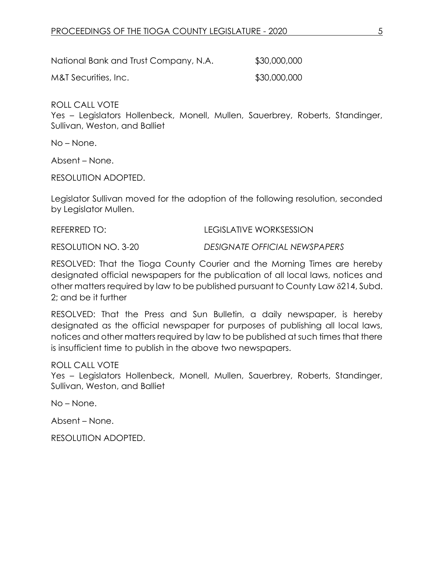National Bank and Trust Company, N.A. \$30,000,000 M&T Securities, Inc. \$30,000,000

ROLL CALL VOTE

Yes – Legislators Hollenbeck, Monell, Mullen, Sauerbrey, Roberts, Standinger, Sullivan, Weston, and Balliet

No – None.

Absent – None.

RESOLUTION ADOPTED.

Legislator Sullivan moved for the adoption of the following resolution, seconded by Legislator Mullen.

REFERRED TO: LEGISLATIVE WORKSESSION

RESOLUTION NO. 3-20 *DESIGNATE OFFICIAL NEWSPAPERS*

RESOLVED: That the Tioga County Courier and the Morning Times are hereby designated official newspapers for the publication of all local laws, notices and other matters required by law to be published pursuant to County Law  $\delta$ 214, Subd. 2; and be it further

RESOLVED: That the Press and Sun Bulletin, a daily newspaper, is hereby designated as the official newspaper for purposes of publishing all local laws, notices and other matters required by law to be published at such times that there is insufficient time to publish in the above two newspapers.

ROLL CALL VOTE

Yes – Legislators Hollenbeck, Monell, Mullen, Sauerbrey, Roberts, Standinger, Sullivan, Weston, and Balliet

No – None.

Absent – None.

RESOLUTION ADOPTED.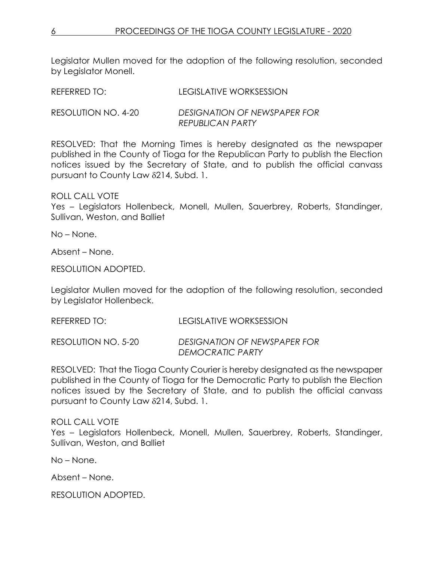Legislator Mullen moved for the adoption of the following resolution, seconded by Legislator Monell.

| REFERRED TO:        | LEGISLATIVE WORKSESSION                                        |
|---------------------|----------------------------------------------------------------|
| RESOLUTION NO. 4-20 | <b>DESIGNATION OF NEWSPAPER FOR</b><br><b>REPUBLICAN PARTY</b> |

RESOLVED: That the Morning Times is hereby designated as the newspaper published in the County of Tioga for the Republican Party to publish the Election notices issued by the Secretary of State, and to publish the official canvass pursuant to County Law 214, Subd. 1.

ROLL CALL VOTE

Yes – Legislators Hollenbeck, Monell, Mullen, Sauerbrey, Roberts, Standinger, Sullivan, Weston, and Balliet

No – None.

Absent – None.

RESOLUTION ADOPTED.

Legislator Mullen moved for the adoption of the following resolution, seconded by Legislator Hollenbeck.

REFERRED TO: LEGISLATIVE WORKSESSION

RESOLUTION NO. 5-20 *DESIGNATION OF NEWSPAPER FOR DEMOCRATIC PARTY*

RESOLVED: That the Tioga County Courier is hereby designated as the newspaper published in the County of Tioga for the Democratic Party to publish the Election notices issued by the Secretary of State, and to publish the official canvass pursuant to County Law 214, Subd. 1.

## ROLL CALL VOTE

Yes – Legislators Hollenbeck, Monell, Mullen, Sauerbrey, Roberts, Standinger, Sullivan, Weston, and Balliet

No – None.

Absent – None.

RESOLUTION ADOPTED.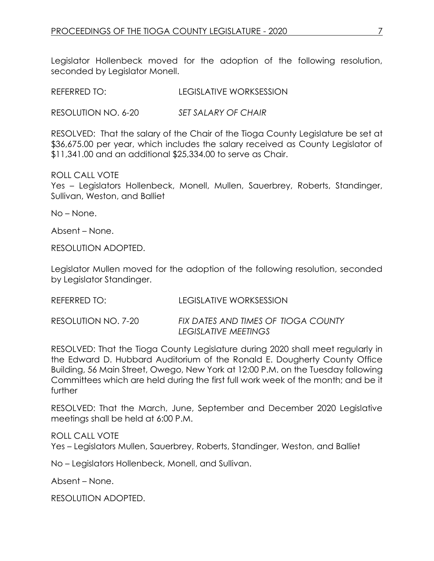Legislator Hollenbeck moved for the adoption of the following resolution, seconded by Legislator Monell.

REFERRED TO: LEGISLATIVE WORKSESSION

RESOLUTION NO. 6-20 *SET SALARY OF CHAIR*

RESOLVED: That the salary of the Chair of the Tioga County Legislature be set at \$36,675.00 per year, which includes the salary received as County Legislator of \$11,341.00 and an additional \$25,334.00 to serve as Chair.

ROLL CALL VOTE Yes – Legislators Hollenbeck, Monell, Mullen, Sauerbrey, Roberts, Standinger, Sullivan, Weston, and Balliet

No – None.

Absent – None.

RESOLUTION ADOPTED.

Legislator Mullen moved for the adoption of the following resolution, seconded by Legislator Standinger.

| REFERRED TO:        | LEGISLATIVE WORKSESSION                                     |
|---------------------|-------------------------------------------------------------|
| RESOLUTION NO. 7-20 | FIX DATES AND TIMES OF TIOGA COUNTY<br>LEGISLATIVE MEETINGS |

RESOLVED: That the Tioga County Legislature during 2020 shall meet regularly in the Edward D. Hubbard Auditorium of the Ronald E. Dougherty County Office Building, 56 Main Street, Owego, New York at 12:00 P.M. on the Tuesday following Committees which are held during the first full work week of the month; and be it further

RESOLVED: That the March, June, September and December 2020 Legislative meetings shall be held at 6:00 P.M.

ROLL CALL VOTE Yes – Legislators Mullen, Sauerbrey, Roberts, Standinger, Weston, and Balliet

No – Legislators Hollenbeck, Monell, and Sullivan.

Absent – None.

RESOLUTION ADOPTED.